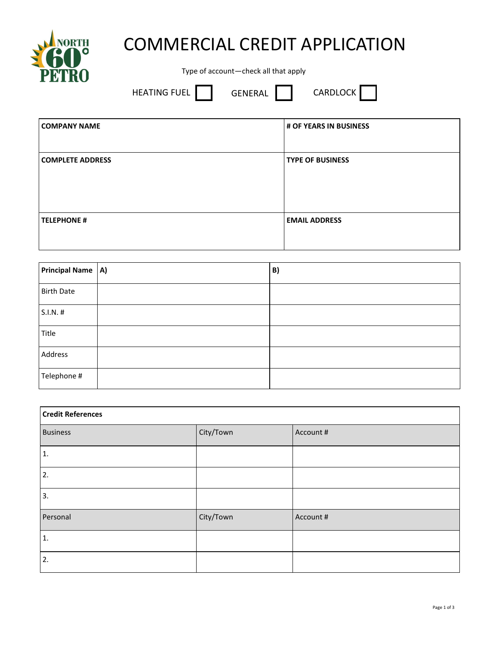

## COMMERCIAL CREDIT APPLICATION

Type of account—check all that apply

HEATING FUEL **GENERAL** CARDLOCK

| <b>COMPANY NAME</b>     | # OF YEARS IN BUSINESS  |
|-------------------------|-------------------------|
| <b>COMPLETE ADDRESS</b> | <b>TYPE OF BUSINESS</b> |
| <b>TELEPHONE #</b>      | <b>EMAIL ADDRESS</b>    |

| Principal Name   A) | B) |
|---------------------|----|
| <b>Birth Date</b>   |    |
| S.I.N. #            |    |
| Title               |    |
| Address             |    |
| Telephone #         |    |

| <b>Credit References</b> |           |           |
|--------------------------|-----------|-----------|
| <b>Business</b>          | City/Town | Account # |
| $\mathbf{1}$ .           |           |           |
| 2.                       |           |           |
| 3.                       |           |           |
| Personal                 | City/Town | Account # |
| 1.                       |           |           |
| 2.                       |           |           |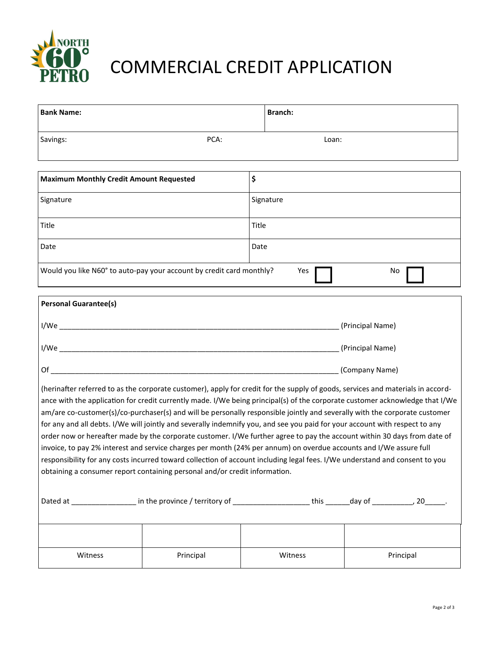

## COMMERCIAL CREDIT APPLICATION

| <b>Bank Name:</b>                                                    |       | <b>Branch:</b> |
|----------------------------------------------------------------------|-------|----------------|
| Savings:                                                             | PCA:  | Loan:          |
|                                                                      |       |                |
| <b>Maximum Monthly Credit Amount Requested</b>                       | \$    |                |
| Signature                                                            |       | Signature      |
| Title                                                                | Title |                |
| Date                                                                 | Date  |                |
| Would you like N60° to auto-pay your account by credit card monthly? |       | Yes<br>No.     |

| <b>Personal Guarantee(s)</b> |                  |
|------------------------------|------------------|
| I/We                         | (Principal Name) |
| I/We                         | (Principal Name) |
| Of                           | (Company Name)   |

(herinafter referred to as the corporate customer), apply for credit for the supply of goods, services and materials in accordance with the application for credit currently made. I/We being principal(s) of the corporate customer acknowledge that I/We am/are co-customer(s)/co-purchaser(s) and will be personally responsible jointly and severally with the corporate customer for any and all debts. I/We will jointly and severally indemnify you, and see you paid for your account with respect to any order now or hereafter made by the corporate customer. I/We further agree to pay the account within 30 days from date of invoice, to pay 2% interest and service charges per month (24% per annum) on overdue accounts and I/We assure full responsibility for any costs incurred toward collection of account including legal fees. I/We understand and consent to you obtaining a consumer report containing personal and/or credit information.

| Dated at | in the province / territory of | this    | day of<br>20 |
|----------|--------------------------------|---------|--------------|
|          |                                |         |              |
|          |                                |         |              |
| Witness  | Principal                      | Witness | Principal    |